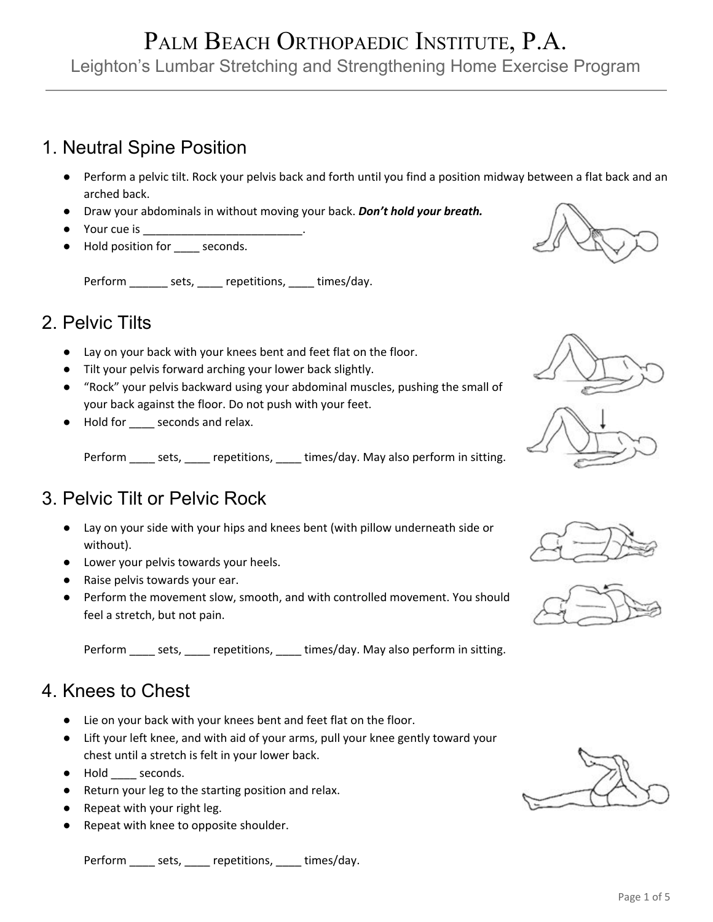## PALM BEACH ORTHOPAEDIC INSTITUTE, P.A. Leighton's Lumbar Stretching and Strengthening Home Exercise Program

### 1. Neutral Spine Position

- Perform a pelvic tilt. Rock your pelvis back and forth until you find a position midway between a flat back and an arched back.
- Draw your abdominals in without moving your back. *Don't hold your breath.*
- Your cue is **William**
- Hold position for \_\_\_\_\_ seconds.

Perform \_\_\_\_\_\_\_ sets, \_\_\_\_\_ repetitions, \_\_\_\_\_ times/day.

## 2. Pelvic Tilts

- Lay on your back with your knees bent and feet flat on the floor.
- Tilt your pelvis forward arching your lower back slightly.
- "Rock" your pelvis backward using your abdominal muscles, pushing the small of your back against the floor. Do not push with your feet.
- Hold for \_\_\_\_\_ seconds and relax.

Perform \_\_\_\_\_ sets, \_\_\_\_\_ repetitions, \_\_\_\_\_ times/day. May also perform in sitting.

## 3. Pelvic Tilt or Pelvic Rock

- Lay on your side with your hips and knees bent (with pillow underneath side or without).
- Lower your pelvis towards your heels.
- Raise pelvis towards your ear.
- Perform the movement slow, smooth, and with controlled movement. You should feel a stretch, but not pain.

Perform \_\_\_\_\_ sets, \_\_\_\_\_ repetitions, \_\_\_\_ times/day. May also perform in sitting.

#### 4. Knees to Chest

- Lie on your back with your knees bent and feet flat on the floor.
- Lift your left knee, and with aid of your arms, pull your knee gently toward your chest until a stretch is felt in your lower back.
- Hold \_\_\_\_ seconds.
- Return your leg to the starting position and relax.
- Repeat with your right leg.
- Repeat with knee to opposite shoulder.

Perform \_\_\_\_\_ sets, \_\_\_\_\_ repetitions, \_\_\_\_ times/day.









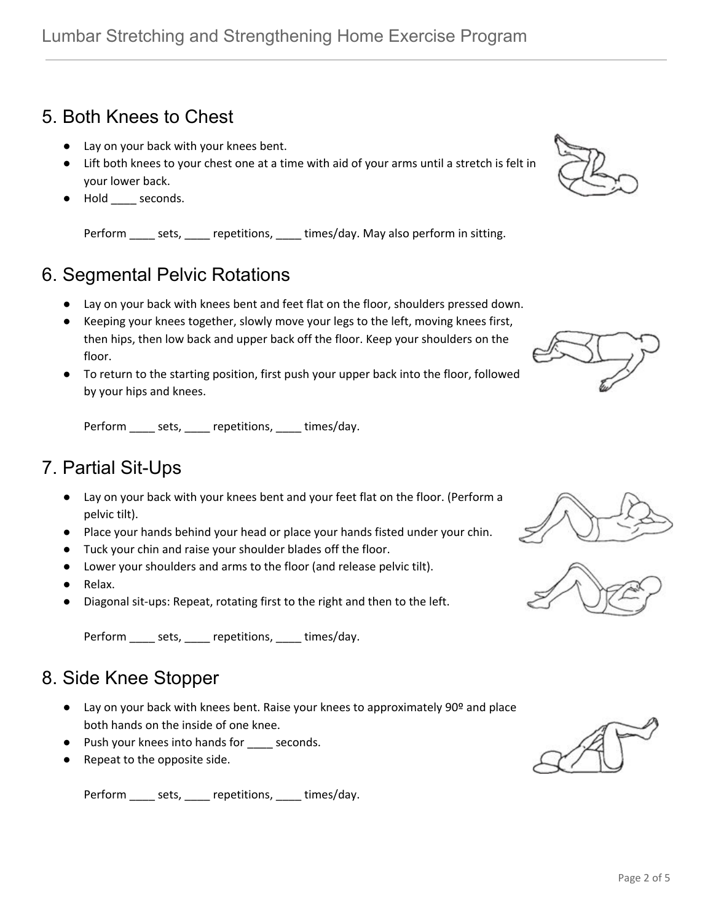## 5. Both Knees to Chest

- Lay on your back with your knees bent.
- Lift both knees to your chest one at a time with aid of your arms until a stretch is felt in your lower back.
- Hold \_\_\_\_ seconds.

Perform \_\_\_\_\_ sets, \_\_\_\_\_ repetitions, \_\_\_\_ times/day. May also perform in sitting.

## 6. Segmental Pelvic Rotations

- Lay on your back with knees bent and feet flat on the floor, shoulders pressed down.
- Keeping your knees together, slowly move your legs to the left, moving knees first, then hips, then low back and upper back off the floor. Keep your shoulders on the floor.
- To return to the starting position, first push your upper back into the floor, followed by your hips and knees.

Perform \_\_\_\_\_ sets, \_\_\_\_\_ repetitions, \_\_\_\_ times/day.

## 7. Partial Sit-Ups

- Lay on your back with your knees bent and your feet flat on the floor. (Perform a pelvic tilt).
- Place your hands behind your head or place your hands fisted under your chin.
- Tuck your chin and raise your shoulder blades off the floor.
- Lower your shoulders and arms to the floor (and release pelvic tilt).
- Relax.
- Diagonal sit-ups: Repeat, rotating first to the right and then to the left.

Perform \_\_\_\_\_ sets, \_\_\_\_ repetitions, \_\_\_\_ times/day.

## 8. Side Knee Stopper

- Lay on your back with knees bent. Raise your knees to approximately 90º and place both hands on the inside of one knee.
- Push your knees into hands for \_\_\_\_ seconds.
- Repeat to the opposite side.

Perform \_\_\_\_\_ sets, \_\_\_\_\_ repetitions, \_\_\_\_\_ times/day.









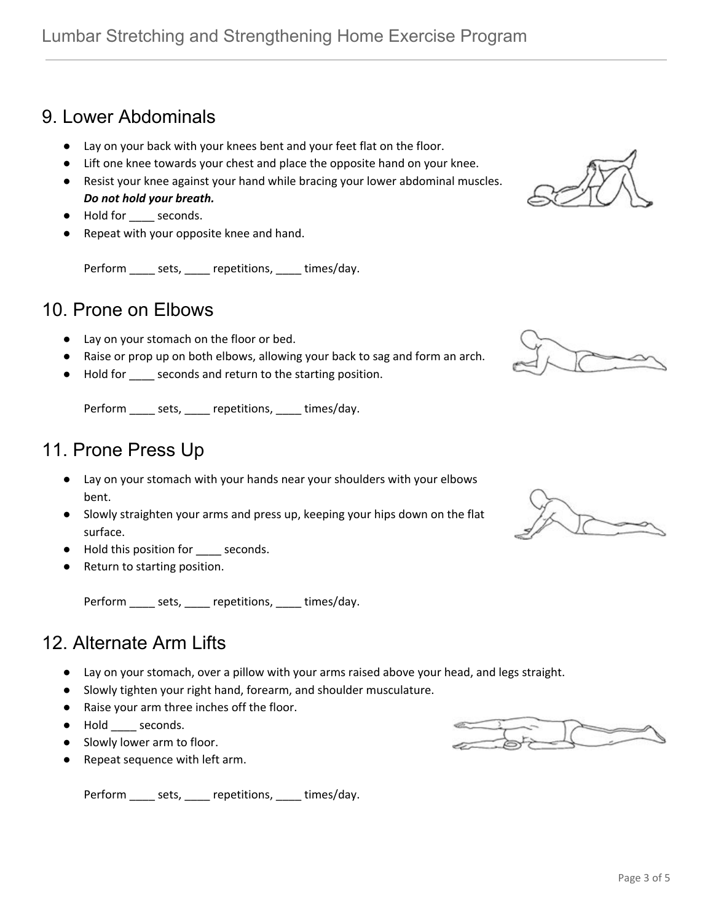## 9. Lower Abdominals

- Lay on your back with your knees bent and your feet flat on the floor.
- Lift one knee towards your chest and place the opposite hand on your knee.
- Resist your knee against your hand while bracing your lower abdominal muscles. *Do not hold your breath.*
- Hold for \_\_\_\_ seconds.
- Repeat with your opposite knee and hand.

Perform \_\_\_\_\_ sets, \_\_\_\_ repetitions, \_\_\_\_ times/day.

#### 10. Prone on Elbows

- Lay on your stomach on the floor or bed.
- Raise or prop up on both elbows, allowing your back to sag and form an arch.
- Hold for \_\_\_\_ seconds and return to the starting position.

Perform \_\_\_\_\_ sets, \_\_\_\_\_ repetitions, \_\_\_\_ times/day.

#### 11. Prone Press Up

- Lay on your stomach with your hands near your shoulders with your elbows bent.
- Slowly straighten your arms and press up, keeping your hips down on the flat surface.
- Hold this position for \_\_\_\_ seconds.
- Return to starting position.

Perform \_\_\_\_\_ sets, \_\_\_\_\_ repetitions, \_\_\_\_\_ times/day.

#### 12. Alternate Arm Lifts

- Lay on your stomach, over a pillow with your arms raised above your head, and legs straight.
- Slowly tighten your right hand, forearm, and shoulder musculature.
- Raise your arm three inches off the floor.
- Hold \_\_\_\_ seconds.
- Slowly lower arm to floor.
- Repeat sequence with left arm.

Perform \_\_\_\_\_ sets, \_\_\_\_\_ repetitions, \_\_\_\_\_ times/day.







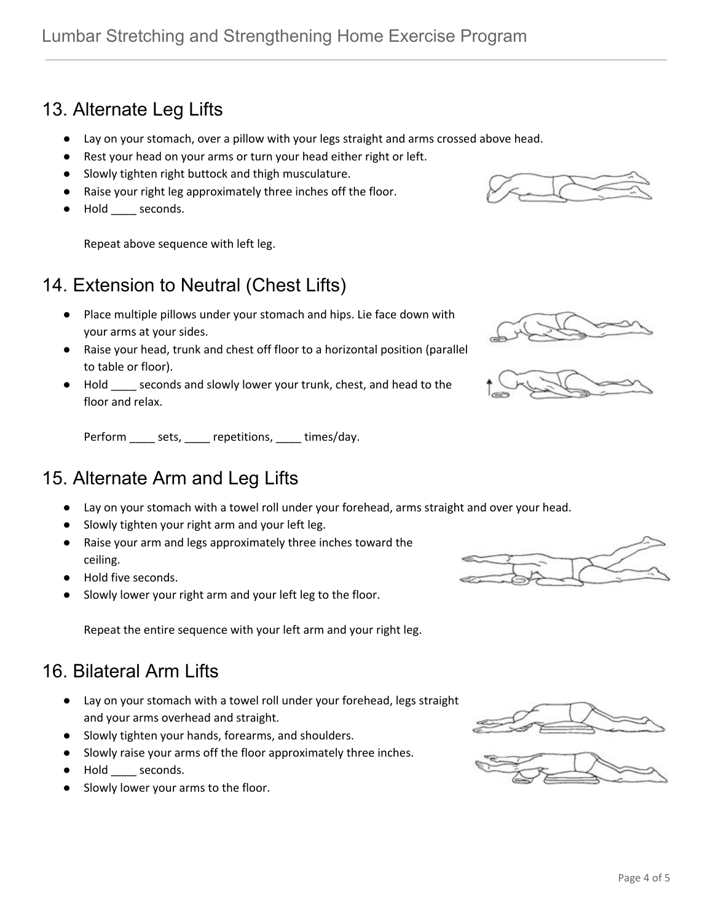Page 4 of 5

# 13. Alternate Leg Lifts

- Lay on your stomach, over a pillow with your legs straight and arms crossed above head.
- Rest your head on your arms or turn your head either right or left.
- Slowly tighten right buttock and thigh musculature.
- Raise your right leg approximately three inches off the floor.
- Hold \_\_\_\_ seconds.

Repeat above sequence with left leg.

# 14. Extension to Neutral (Chest Lifts)

- Place multiple pillows under your stomach and hips. Lie face down with your arms at your sides.
- Raise your head, trunk and chest off floor to a horizontal position (parallel to table or floor).
- Hold \_\_\_\_ seconds and slowly lower your trunk, chest, and head to the floor and relax.

Perform \_\_\_\_\_ sets, \_\_\_\_\_ repetitions, \_\_\_\_\_ times/day.

## 15. Alternate Arm and Leg Lifts

- Lay on your stomach with a towel roll under your forehead, arms straight and over your head.
- Slowly tighten your right arm and your left leg.
- Raise your arm and legs approximately three inches toward the ceiling.
- Hold five seconds.
- Slowly lower your right arm and your left leg to the floor.

Repeat the entire sequence with your left arm and your right leg.

## 16. Bilateral Arm Lifts

- Lay on your stomach with a towel roll under your forehead, legs straight and your arms overhead and straight.
- Slowly tighten your hands, forearms, and shoulders.
- Slowly raise your arms off the floor approximately three inches.
- Hold seconds.
- Slowly lower your arms to the floor.